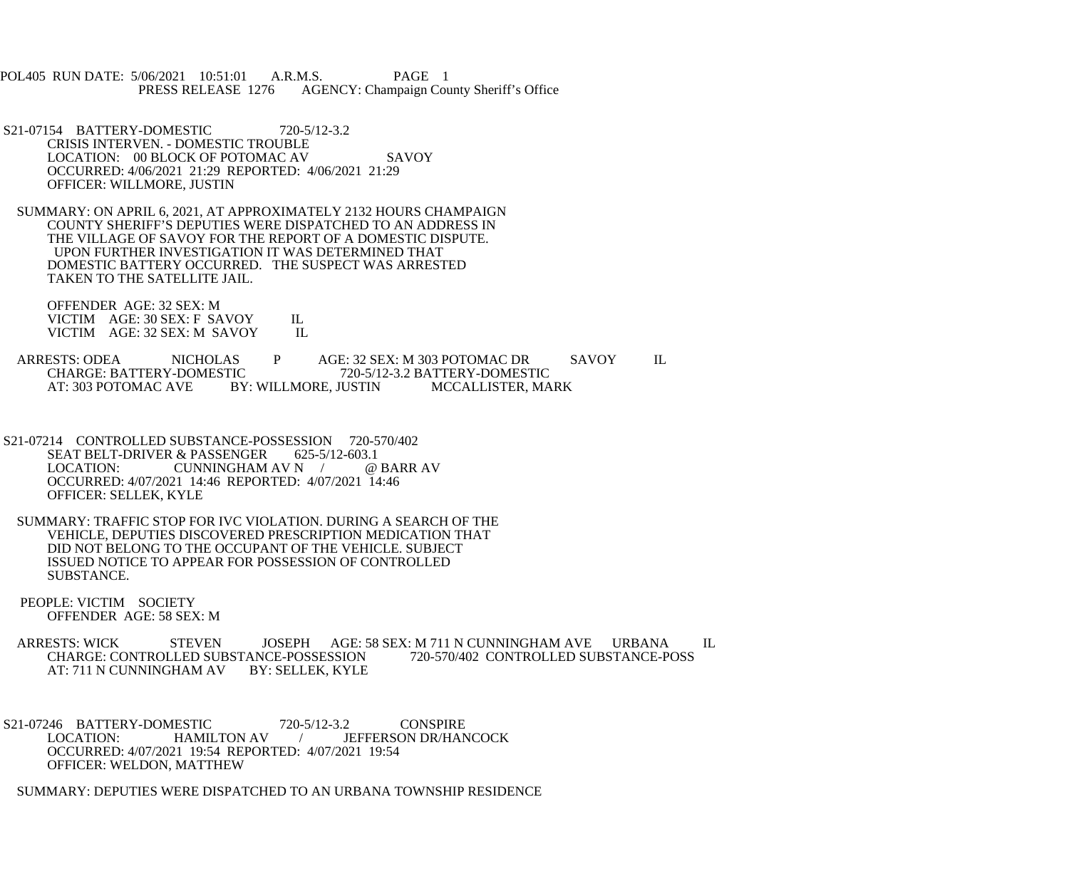POL405 RUN DATE: 5/06/2021 10:51:01 A.R.M.S. PAGE 1<br>PRESS RELEASE 1276 AGENCY: Champaign Cou AGENCY: Champaign County Sheriff's Office

- S21-07154 BATTERY-DOMESTIC 720-5/12-3.2 CRISIS INTERVEN. - DOMESTIC TROUBLE LOCATION: 00 BLOCK OF POTOMAC AV SAVOY OCCURRED: 4/06/2021 21:29 REPORTED: 4/06/2021 21:29 OFFICER: WILLMORE, JUSTIN
- SUMMARY: ON APRIL 6, 2021, AT APPROXIMATELY 2132 HOURS CHAMPAIGN COUNTY SHERIFF'S DEPUTIES WERE DISPATCHED TO AN ADDRESS IN THE VILLAGE OF SAVOY FOR THE REPORT OF A DOMESTIC DISPUTE. UPON FURTHER INVESTIGATION IT WAS DETERMINED THAT DOMESTIC BATTERY OCCURRED. THE SUSPECT WAS ARRESTED TAKEN TO THE SATELLITE JAIL.

 OFFENDER AGE: 32 SEX: M VICTIM AGE: 30 SEX: F SAVOY IL<br>VICTIM AGE: 32 SEX: M SAVOY IL VICTIM AGE: 32 SEX: M SAVOY

ARRESTS: ODEA NICHOLAS P AGE: 32 SEX: M 303 POTOMAC DR SAVOY IL<br>CHARGE: BATTERY-DOMESTIC 720-5/12-3.2 BATTERY-DOMESTIC CHARGE: BATTERY-DOMESTIC 720-5/12-3.2 BATTERY-DOMESTIC<br>AT: 303 POTOMAC AVE BY: WILLMORE, JUSTIN MCCALLISTER, MA BY: WILLMORE, JUSTIN MCCALLISTER, MARK

- S21-07214 CONTROLLED SUBSTANCE-POSSESSION 720-570/402 SEAT BELT-DRIVER & PASSENGER 625-5/12-603.1<br>LOCATION: CUNNINGHAM AV N / @ BARR AV LOCATION: CUNNINGHAM AV N / OCCURRED: 4/07/2021 14:46 REPORTED: 4/07/2021 14:46 OFFICER: SELLEK, KYLE
- SUMMARY: TRAFFIC STOP FOR IVC VIOLATION. DURING A SEARCH OF THE VEHICLE, DEPUTIES DISCOVERED PRESCRIPTION MEDICATION THAT DID NOT BELONG TO THE OCCUPANT OF THE VEHICLE. SUBJECT ISSUED NOTICE TO APPEAR FOR POSSESSION OF CONTROLLED SUBSTANCE.
- PEOPLE: VICTIM SOCIETY OFFENDER AGE: 58 SEX: M

ARRESTS: WICK STEVEN JOSEPH AGE: 58 SEX: M 711 N CUNNINGHAM AVE URBANA IL<br>CHARGE: CONTROLLED SUBSTANCE-POSSESSION 720-570/402 CONTROLLED SUBSTANCE-POSS CHARGE: CONTROLLED SUBSTANCE-POSSESSION<br>AT: 711 N CUNNINGHAM AV BY: SELLEK, KYLE AT: 711 N CUNNINGHAM AV

S21-07246 BATTERY-DOMESTIC 720-5/12-3.2 CONSPIRE<br>LOCATION: HAMILTON AV / JEFFERSON DR/HAN / JEFFERSON DR/HANCOCK OCCURRED: 4/07/2021 19:54 REPORTED: 4/07/2021 19:54 OFFICER: WELDON, MATTHEW

SUMMARY: DEPUTIES WERE DISPATCHED TO AN URBANA TOWNSHIP RESIDENCE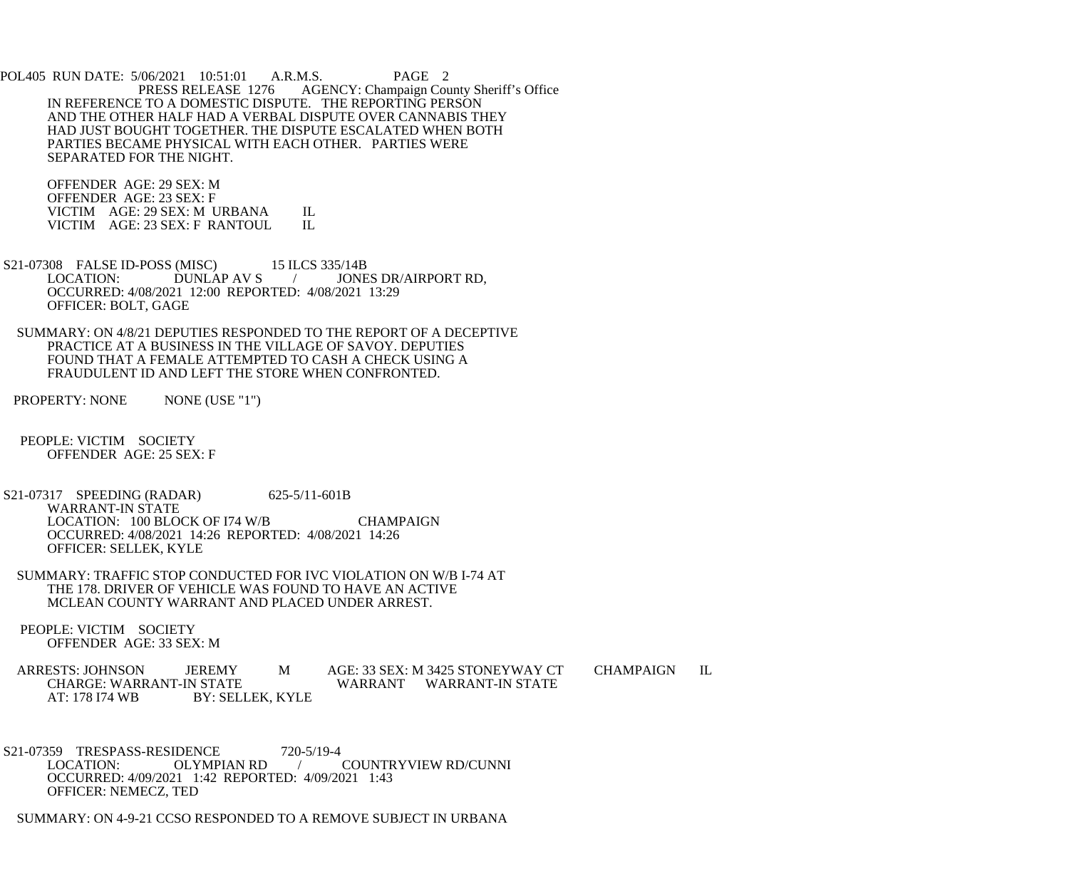POL405 RUN DATE: 5/06/2021 10:51:01 A.R.M.S. PAGE 2<br>PRESS RELEASE 1276 AGENCY: Champaign Cou AGENCY: Champaign County Sheriff's Office IN REFERENCE TO A DOMESTIC DISPUTE. THE REPORTING PERSON AND THE OTHER HALF HAD A VERBAL DISPUTE OVER CANNABIS THEY HAD JUST BOUGHT TOGETHER. THE DISPUTE ESCALATED WHEN BOTH PARTIES BECAME PHYSICAL WITH EACH OTHER. PARTIES WERE SEPARATED FOR THE NIGHT.

 OFFENDER AGE: 29 SEX: M OFFENDER AGE: 23 SEX: F VICTIM AGE: 29 SEX: M URBANA IL<br>VICTIM AGE: 23 SEX: F RANTOUL IL VICTIM AGE: 23 SEX: F RANTOUL

- S21-07308 FALSE ID-POSS (MISC) 15 ILCS 335/14B<br>LOCATION: DUNLAP AV S / JONE / JONES DR/AIRPORT RD, OCCURRED: 4/08/2021 12:00 REPORTED: 4/08/2021 13:29 OFFICER: BOLT, GAGE
- SUMMARY: ON 4/8/21 DEPUTIES RESPONDED TO THE REPORT OF A DECEPTIVE PRACTICE AT A BUSINESS IN THE VILLAGE OF SAVOY. DEPUTIES FOUND THAT A FEMALE ATTEMPTED TO CASH A CHECK USING A FRAUDULENT ID AND LEFT THE STORE WHEN CONFRONTED.

PROPERTY: NONE NONE (USE "1")

 PEOPLE: VICTIM SOCIETY OFFENDER AGE: 25 SEX: F

- S21-07317 SPEEDING (RADAR) 625-5/11-601B WARRANT-IN STATE LOCATION: 100 BLOCK OF I74 W/B CHAMPAIGN OCCURRED: 4/08/2021 14:26 REPORTED: 4/08/2021 14:26 OFFICER: SELLEK, KYLE
- SUMMARY: TRAFFIC STOP CONDUCTED FOR IVC VIOLATION ON W/B I-74 AT THE 178. DRIVER OF VEHICLE WAS FOUND TO HAVE AN ACTIVE MCLEAN COUNTY WARRANT AND PLACED UNDER ARREST.
- PEOPLE: VICTIM SOCIETY OFFENDER AGE: 33 SEX: M
- ARRESTS: JOHNSON JEREMY M AGE: 33 SEX: M 3425 STONEYWAY CT CHAMPAIGN IL<br>CHARGE: WARRANT-IN STATE WARRANT WARRANT-IN STATE WARRANT WARRANT-IN STATE AT: 178 I74 WB BY: SELLEK, KYLE
- S21-07359 TRESPASS-RESIDENCE 720-5/19-4<br>LOCATION: OLYMPIAN RD LOCATION: OLYMPIAN RD / COUNTRYVIEW RD/CUNNI OCCURRED: 4/09/2021 1:42 REPORTED: 4/09/2021 1:43 OFFICER: NEMECZ, TED

SUMMARY: ON 4-9-21 CCSO RESPONDED TO A REMOVE SUBJECT IN URBANA